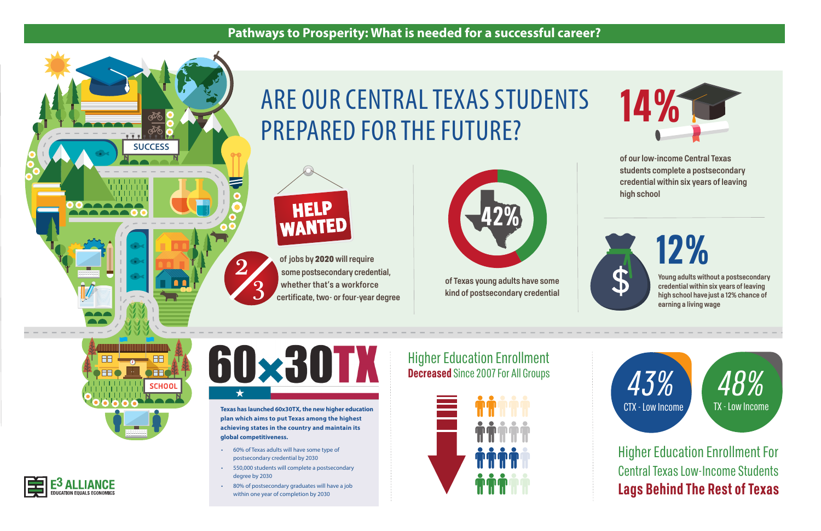

## **Pathways to Prosperity: What is needed for a successful career?**

- 60% of Texas adults will have some type of postsecondary credential by 2030
- 550,000 students will complete a postsecondary degree by 2030
- 80% of postsecondary graduates will have a job within one year of completion by 2030



**Young adults without a postsecondary credential within six years of leaving high school have just a 12% chance of earning a living wage**

**of our low-income Central Texas students complete a postsecondary credential within six years of leaving high school**







2

3

**Texas has launched 60x30TX, the new higher education plan which aims to put Texas among the highest achieving states in the country and maintain its global competitiveness.**

**of jobs by** 2020 **will require some postsecondary credential, whether that's a workforce certificate, two- or four-year degree**



**of Texas young adults have some kind of postsecondary credential**





# ARE OUR CENTRAL TEXAS STUDENTS PREPARED FOR THE FUTURE?

# Higher Education Enrollment **Decreased** Since 2007 For All Groups





Higher Education Enrollment For Central Texas Low-Income Students **Lags Behind The Rest of Texas**